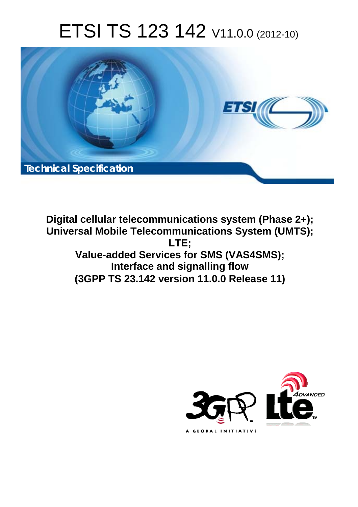# ETSI TS 123 142 V11.0.0 (2012-10)



**Digital cellular telecommunications system (Phase 2+); Universal Mobile Telecommunications System (UMTS); LTE; Value-added Services for SMS (VAS4SMS); Interface and signalling flow (3GPP TS 23.142 version 11.0.0 Release 11)** 

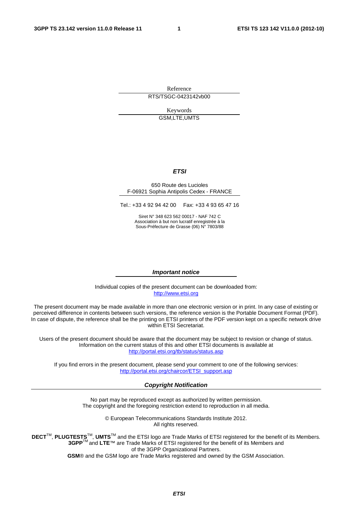Reference RTS/TSGC-0423142vb00

> Keywords GSM,LTE,UMTS

#### *ETSI*

#### 650 Route des Lucioles F-06921 Sophia Antipolis Cedex - FRANCE

Tel.: +33 4 92 94 42 00 Fax: +33 4 93 65 47 16

Siret N° 348 623 562 00017 - NAF 742 C Association à but non lucratif enregistrée à la Sous-Préfecture de Grasse (06) N° 7803/88

#### *Important notice*

Individual copies of the present document can be downloaded from: [http://www.etsi.org](http://www.etsi.org/)

The present document may be made available in more than one electronic version or in print. In any case of existing or perceived difference in contents between such versions, the reference version is the Portable Document Format (PDF). In case of dispute, the reference shall be the printing on ETSI printers of the PDF version kept on a specific network drive within ETSI Secretariat.

Users of the present document should be aware that the document may be subject to revision or change of status. Information on the current status of this and other ETSI documents is available at <http://portal.etsi.org/tb/status/status.asp>

If you find errors in the present document, please send your comment to one of the following services: [http://portal.etsi.org/chaircor/ETSI\\_support.asp](http://portal.etsi.org/chaircor/ETSI_support.asp)

#### *Copyright Notification*

No part may be reproduced except as authorized by written permission. The copyright and the foregoing restriction extend to reproduction in all media.

> © European Telecommunications Standards Institute 2012. All rights reserved.

**DECT**TM, **PLUGTESTS**TM, **UMTS**TM and the ETSI logo are Trade Marks of ETSI registered for the benefit of its Members. **3GPP**TM and **LTE**™ are Trade Marks of ETSI registered for the benefit of its Members and of the 3GPP Organizational Partners.

**GSM**® and the GSM logo are Trade Marks registered and owned by the GSM Association.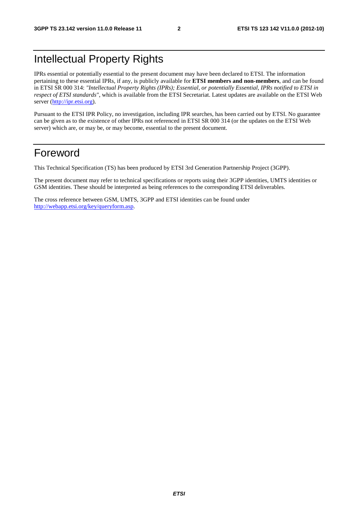# Intellectual Property Rights

IPRs essential or potentially essential to the present document may have been declared to ETSI. The information pertaining to these essential IPRs, if any, is publicly available for **ETSI members and non-members**, and can be found in ETSI SR 000 314: *"Intellectual Property Rights (IPRs); Essential, or potentially Essential, IPRs notified to ETSI in respect of ETSI standards"*, which is available from the ETSI Secretariat. Latest updates are available on the ETSI Web server ([http://ipr.etsi.org\)](http://webapp.etsi.org/IPR/home.asp).

Pursuant to the ETSI IPR Policy, no investigation, including IPR searches, has been carried out by ETSI. No guarantee can be given as to the existence of other IPRs not referenced in ETSI SR 000 314 (or the updates on the ETSI Web server) which are, or may be, or may become, essential to the present document.

# Foreword

This Technical Specification (TS) has been produced by ETSI 3rd Generation Partnership Project (3GPP).

The present document may refer to technical specifications or reports using their 3GPP identities, UMTS identities or GSM identities. These should be interpreted as being references to the corresponding ETSI deliverables.

The cross reference between GSM, UMTS, 3GPP and ETSI identities can be found under [http://webapp.etsi.org/key/queryform.asp.](http://webapp.etsi.org/key/queryform.asp)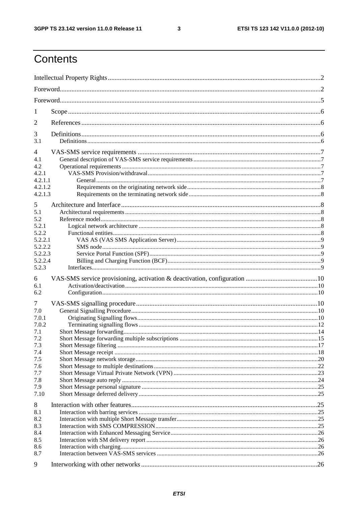$\mathbf{3}$ 

# Contents

| 1       |  |
|---------|--|
| 2       |  |
| 3       |  |
| 3.1     |  |
| 4       |  |
| 4.1     |  |
| 4.2     |  |
| 4.2.1   |  |
| 4.2.1.1 |  |
| 4.2.1.2 |  |
| 4.2.1.3 |  |
| 5       |  |
| 5.1     |  |
| 5.2     |  |
| 5.2.1   |  |
| 5.2.2   |  |
| 5.2.2.1 |  |
| 5.2.2.2 |  |
| 5.2.2.3 |  |
| 5.2.2.4 |  |
| 5.2.3   |  |
|         |  |
|         |  |
| 6       |  |
| 6.1     |  |
| 6.2     |  |
| 7       |  |
| 7.0     |  |
| 7.0.1   |  |
| 7.0.2   |  |
| 7.1     |  |
| 7.2     |  |
| 7.3     |  |
| 7.4     |  |
| 7.5     |  |
| 7.6     |  |
| 7.7     |  |
| 7.8     |  |
| 7.9     |  |
| 7.10    |  |
| 8       |  |
| 8.1     |  |
| 8.2     |  |
| 8.3     |  |
| 8.4     |  |
| 8.5     |  |
| 8.6     |  |
| 8.7     |  |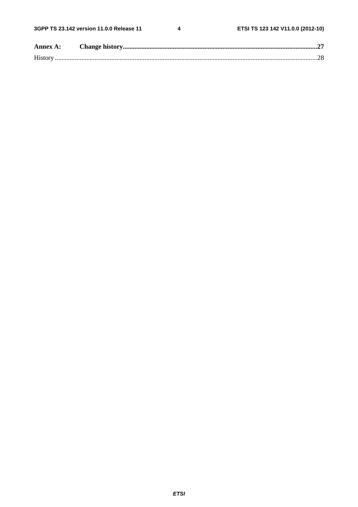$\overline{\mathbf{4}}$ 

| Annex A: |  |
|----------|--|
|          |  |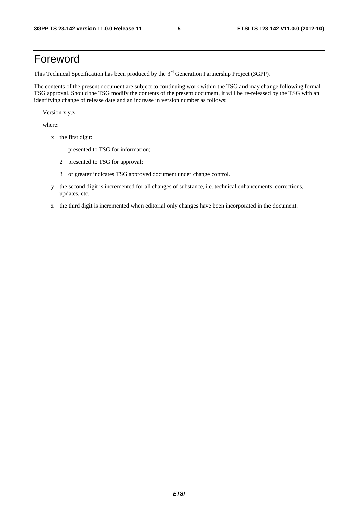# Foreword

This Technical Specification has been produced by the 3<sup>rd</sup> Generation Partnership Project (3GPP).

The contents of the present document are subject to continuing work within the TSG and may change following formal TSG approval. Should the TSG modify the contents of the present document, it will be re-released by the TSG with an identifying change of release date and an increase in version number as follows:

Version x.y.z

where:

- x the first digit:
	- 1 presented to TSG for information;
	- 2 presented to TSG for approval;
	- 3 or greater indicates TSG approved document under change control.
- y the second digit is incremented for all changes of substance, i.e. technical enhancements, corrections, updates, etc.
- z the third digit is incremented when editorial only changes have been incorporated in the document.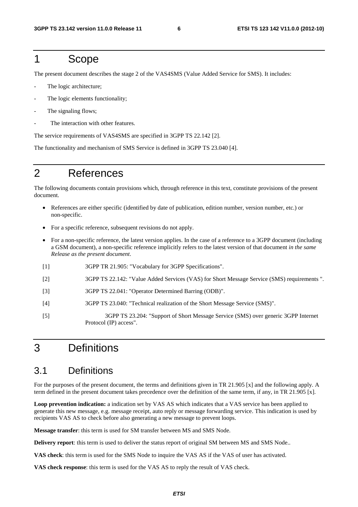### 1 Scope

The present document describes the stage 2 of the VAS4SMS (Value Added Service for SMS). It includes:

- The logic architecture;
- The logic elements functionality;
- The signaling flows;
- The interaction with other features.

The service requirements of VAS4SMS are specified in 3GPP TS 22.142 [2].

The functionality and mechanism of SMS Service is defined in 3GPP TS 23.040 [4].

# 2 References

The following documents contain provisions which, through reference in this text, constitute provisions of the present document.

- References are either specific (identified by date of publication, edition number, version number, etc.) or non-specific.
- For a specific reference, subsequent revisions do not apply.
- For a non-specific reference, the latest version applies. In the case of a reference to a 3GPP document (including a GSM document), a non-specific reference implicitly refers to the latest version of that document *in the same Release as the present document*.
- [1] 3GPP TR 21.905: "Vocabulary for 3GPP Specifications".
- [2] 3GPP TS 22.142: "Value Added Services (VAS) for Short Message Service (SMS) requirements ".
- [3] 3GPP TS 22.041: "Operator Determined Barring (ODB)".
- [4] 3GPP TS 23.040: "Technical realization of the Short Message Service (SMS)".
- [5] 3GPP TS 23.204: "Support of Short Message Service (SMS) over generic 3GPP Internet Protocol (IP) access".

# 3 Definitions

### 3.1 Definitions

For the purposes of the present document, the terms and definitions given in TR 21.905 [x] and the following apply. A term defined in the present document takes precedence over the definition of the same term, if any, in TR 21.905 [x].

**Loop prevention indication:** a indication set by VAS AS which indicates that a VAS service has been applied to generate this new message, e.g. message receipt, auto reply or message forwarding service. This indication is used by recipients VAS AS to check before also generating a new message to prevent loops.

**Message transfer**: this term is used for SM transfer between MS and SMS Node.

**Delivery report**: this term is used to deliver the status report of original SM between MS and SMS Node..

**VAS check**: this term is used for the SMS Node to inquire the VAS AS if the VAS of user has activated.

**VAS check response**: this term is used for the VAS AS to reply the result of VAS check.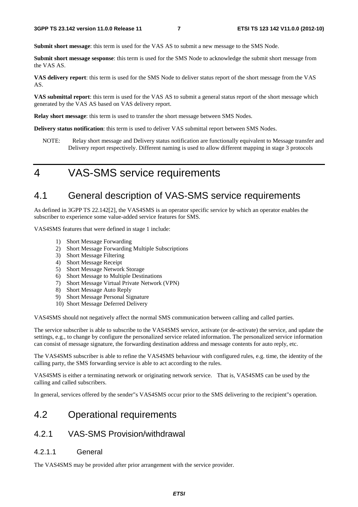**Submit short message**: this term is used for the VAS AS to submit a new message to the SMS Node.

**Submit short message sesponse**: this term is used for the SMS Node to acknowledge the submit short message from the VAS AS.

**VAS delivery report**: this term is used for the SMS Node to deliver status report of the short message from the VAS AS.

**VAS submittal report**: this term is used for the VAS AS to submit a general status report of the short message which generated by the VAS AS based on VAS delivery report.

**Relay short message**: this term is used to transfer the short message between SMS Nodes.

**Delivery status notification**: this term is used to deliver VAS submittal report between SMS Nodes.

NOTE: Relay short message and Delivery status notification are functionally equivalent to Message transfer and Delivery report respectively. Different naming is used to allow different mapping in stage 3 protocols

# 4 VAS-SMS service requirements

# 4.1 General description of VAS-SMS service requirements

As defined in 3GPP TS 22.142[2], the VAS4SMS is an operator specific service by which an operator enables the subscriber to experience some value-added service features for SMS.

VAS4SMS features that were defined in stage 1 include:

- 1) Short Message Forwarding
- 2) Short Message Forwarding Multiple Subscriptions
- 3) Short Message Filtering
- 4) Short Message Receipt
- 5) Short Message Network Storage
- 6) Short Message to Multiple Destinations
- 7) Short Message Virtual Private Network (VPN)
- 8) Short Message Auto Reply
- 9) Short Message Personal Signature
- 10) Short Message Deferred Delivery

VAS4SMS should not negatively affect the normal SMS communication between calling and called parties.

The service subscriber is able to subscribe to the VAS4SMS service, activate (or de-activate) the service, and update the settings, e.g., to change by configure the personalized service related information. The personalized service information can consist of message signature, the forwarding destination address and message contents for auto reply, etc.

The VAS4SMS subscriber is able to refine the VAS4SMS behaviour with configured rules, e.g. time, the identity of the calling party, the SMS forwarding service is able to act according to the rules.

VAS4SMS is either a terminating network or originating network service. That is, VAS4SMS can be used by the calling and called subscribers.

In general, services offered by the sender"s VAS4SMS occur prior to the SMS delivering to the recipient"s operation.

### 4.2 Operational requirements

### 4.2.1 VAS-SMS Provision/withdrawal

#### 4.2.1.1 General

The VAS4SMS may be provided after prior arrangement with the service provider.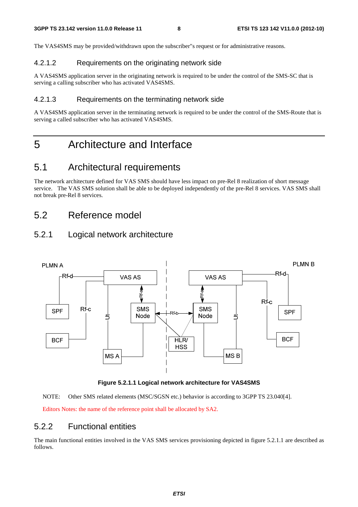The VAS4SMS may be provided/withdrawn upon the subscriber"s request or for administrative reasons.

#### 4.2.1.2 Requirements on the originating network side

A VAS4SMS application server in the originating network is required to be under the control of the SMS-SC that is serving a calling subscriber who has activated VAS4SMS.

#### 4.2.1.3 Requirements on the terminating network side

A VAS4SMS application server in the terminating network is required to be under the control of the SMS-Route that is serving a called subscriber who has activated VAS4SMS.

# 5 Architecture and Interface

### 5.1 Architectural requirements

The network architecture defined for VAS SMS should have less impact on pre-Rel 8 realization of short message service. The VAS SMS solution shall be able to be deployed independently of the pre-Rel 8 services. VAS SMS shall not break pre-Rel 8 services.

# 5.2 Reference model

### 5.2.1 Logical network architecture



#### **Figure 5.2.1.1 Logical network architecture for VAS4SMS**

NOTE: Other SMS related elements (MSC/SGSN etc.) behavior is according to 3GPP TS 23.040[4].

Editors Notes: the name of the reference point shall be allocated by SA2.

### 5.2.2 Functional entities

The main functional entities involved in the VAS SMS services provisioning depicted in figure 5.2.1.1 are described as follows.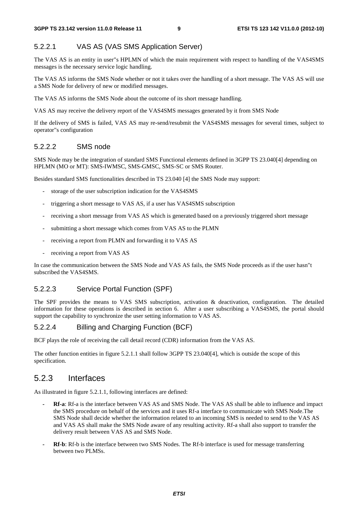#### 5.2.2.1 VAS AS (VAS SMS Application Server)

The VAS AS is an entity in user"s HPLMN of which the main requirement with respect to handling of the VAS4SMS messages is the necessary service logic handling.

The VAS AS informs the SMS Node whether or not it takes over the handling of a short message. The VAS AS will use a SMS Node for delivery of new or modified messages.

The VAS AS informs the SMS Node about the outcome of its short message handling.

VAS AS may receive the delivery report of the VAS4SMS messages generated by it from SMS Node

If the delivery of SMS is failed, VAS AS may re-send/resubmit the VAS4SMS messages for several times, subject to operator"s configuration

#### 5.2.2.2 SMS node

SMS Node may be the integration of standard SMS Functional elements defined in 3GPP TS 23.040[4] depending on HPLMN (MO or MT): SMS-IWMSC, SMS-GMSC, SMS-SC or SMS Router.

Besides standard SMS functionalities described in TS 23.040 [4] the SMS Node may support:

- storage of the user subscription indication for the VAS4SMS
- triggering a short message to VAS AS, if a user has VAS4SMS subscription
- receiving a short message from VAS AS which is generated based on a previously triggered short message
- submitting a short message which comes from VAS AS to the PLMN
- receiving a report from PLMN and forwarding it to VAS AS
- receiving a report from VAS AS

In case the communication between the SMS Node and VAS AS fails, the SMS Node proceeds as if the user hasn"t subscribed the VAS4SMS.

#### 5.2.2.3 Service Portal Function (SPF)

The SPF provides the means to VAS SMS subscription, activation & deactivation, configuration. The detailed information for these operations is described in section 6. After a user subscribing a VAS4SMS, the portal should support the capability to synchronize the user setting information to VAS AS.

#### 5.2.2.4 Billing and Charging Function (BCF)

BCF plays the role of receiving the call detail record (CDR) information from the VAS AS.

The other function entities in figure 5.2.1.1 shall follow 3GPP TS 23.040[4], which is outside the scope of this specification.

#### 5.2.3 Interfaces

As illustrated in figure 5.2.1.1, following interfaces are defined:

- *-* **Rf-a**: Rf-a is the interface between VAS AS and SMS Node. The VAS AS shall be able to influence and impact the SMS procedure on behalf of the services and it uses Rf-a interface to communicate with SMS Node.The SMS Node shall decide whether the information related to an incoming SMS is needed to send to the VAS AS and VAS AS shall make the SMS Node aware of any resulting activity. Rf-a shall also support to transfer the delivery result between VAS AS and SMS Node.
- *-* **Rf-b**: Rf-b is the interface between two SMS Nodes. The Rf-b interface is used for message transferring between two PLMSs.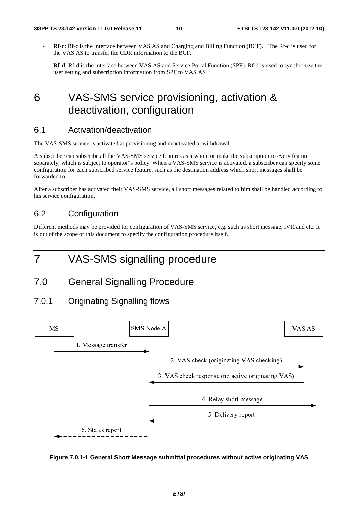- *-* **Rf-c**: Rf-c is the interface between VAS AS and Charging and Billing Function (BCF). The Rf-c is used for the VAS AS to transfer the CDR information to the BCF.
- *-* **Rf-d**: Rf-d is the interface between VAS AS and Service Portal Function (SPF). Rf-d is used to synchronize the user setting and subscription information from SPF to VAS AS

# 6 VAS-SMS service provisioning, activation & deactivation, configuration

### 6.1 Activation/deactivation

The VAS-SMS service is activated at provisioning and deactivated at withdrawal.

A subscriber can subscribe all the VAS-SMS service features as a whole or make the subscription to every feature separately, which is subject to operator"s policy. When a VAS-SMS service is activated, a subscriber can specify some configuration for each subscribed service feature, such as the destination address which short messages shall be forwarded to.

After a subscriber has activated their VAS-SMS service, all short messages related to him shall be handled according to his service configuration.

### 6.2 Configuration

Different methods may be provided for configuration of VAS-SMS service, e.g. such as short message, IVR and etc. It is out of the scope of this document to specify the configuration procedure itself.

# 7 VAS-SMS signalling procedure

### 7.0 General Signalling Procedure

#### 7.0.1 Originating Signalling flows



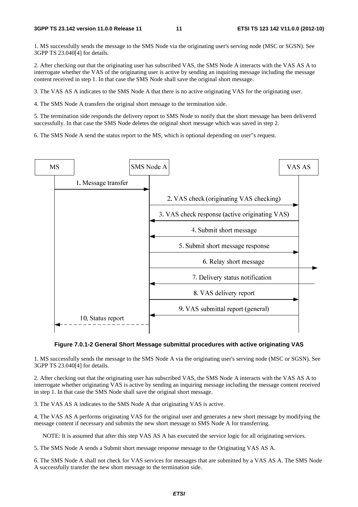1. MS successfully sends the message to the SMS Node via the originating user's serving node (MSC or SGSN). See 3GPP TS 23.040[4] for details.

2. After checking out that the originating user has subscribed VAS, the SMS Node A interacts with the VAS AS A to interrogate whether the VAS of the originating user is active by sending an inquiring message including the message content received in step 1. In that case the SMS Node shall save the original short message.

3. The VAS AS A indicates to the SMS Node A that there is no active originating VAS for the originating user.

4. The SMS Node A transfers the original short message to the termination side.

5. The termination side responds the delivery report to SMS Node to notify that the short message has been delivered successfully. In that case the SMS Node deletes the original short message which was saved in step 2.

6. The SMS Node A send the status report to the MS, which is optional depending on user"s request.



#### **Figure 7.0.1-2 General Short Message submittal procedures with active originating VAS**

1. MS successfully sends the message to the SMS Node A via the originating user's serving node (MSC or SGSN). See 3GPP TS 23.040[4] for details.

2. After checking out that the originating user has subscribed VAS, the SMS Node A interacts with the VAS AS A to interrogate whether originating VAS is active by sending an inquiring message including the message content received in step 1. In that case the SMS Node shall save the original short message.

3. The VAS AS A indicates to the SMS Node A that originating VAS is active.

4. The VAS AS A performs originating VAS for the original user and generates a new short message by modifying the message content if necessary and submits the new short message to SMS Node A for transferring.

NOTE: It is assumed that after this step VAS AS A has executed the service logic for all originating services.

5. The SMS Node A sends a Submit short message response message to the Originating VAS AS A.

6. The SMS Node A shall not check for VAS services for messages that are submitted by a VAS AS A. The SMS Node A successfully transfer the new short message to the termination side.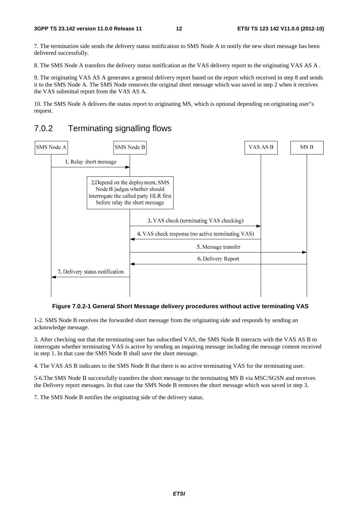7. The termination side sends the delivery status notification to SMS Node A to notify the new short message has been delivered successfully.

8. The SMS Node A transfers the delivery status notification as the VAS delivery report to the originating VAS AS A .

9. The originating VAS AS A generates a general delivery report based on the report which received in step 8 and sends it to the SMS Node A. The SMS Node removes the original short message which was saved in step 2 when it receives the VAS submittal report from the VAS AS A.

10. The SMS Node A delivers the status report to originating MS, which is optional depending on originating user"s request.

### 7.0.2 Terminating signalling flows



#### **Figure 7.0.2-1 General Short Message delivery procedures without active terminating VAS**

1-2. SMS Node B receives the forwarded short message from the originating side and responds by sending an acknowledge message.

3. After checking out that the terminating user has subscribed VAS, the SMS Node B interacts with the VAS AS B to interrogate whether terminating VAS is active by sending an inquiring message including the message content received in step 1. In that case the SMS Node B shall save the short message.

4. The VAS AS B indicates to the SMS Node B that there is no active terminating VAS for the terminating user.

5-6.The SMS Node B successfully transfers the short message to the terminating MS B via MSC/SGSN and receives the Delivery report messages. In that case the SMS Node B removes the short message which was saved in step 3.

7. The SMS Node B notifies the originating side of the delivery status.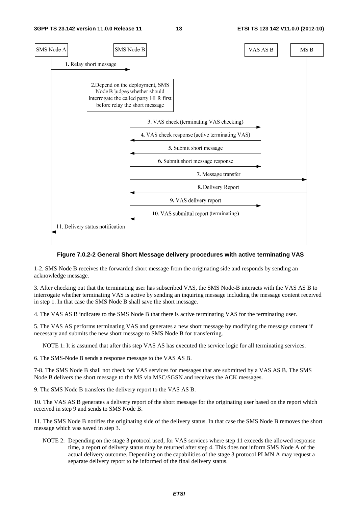

#### **Figure 7.0.2-2 General Short Message delivery procedures with active terminating VAS**

1-2. SMS Node B receives the forwarded short message from the originating side and responds by sending an acknowledge message.

3. After checking out that the terminating user has subscribed VAS, the SMS Node-B interacts with the VAS AS B to interrogate whether terminating VAS is active by sending an inquiring message including the message content received in step 1. In that case the SMS Node B shall save the short message.

4. The VAS AS B indicates to the SMS Node B that there is active terminating VAS for the terminating user.

5. The VAS AS performs terminating VAS and generates a new short message by modifying the message content if necessary and submits the new short message to SMS Node B for transferring.

NOTE 1: It is assumed that after this step VAS AS has executed the service logic for all terminating services.

6. The SMS-Node B sends a response message to the VAS AS B.

7-8. The SMS Node B shall not check for VAS services for messages that are submitted by a VAS AS B. The SMS Node B delivers the short message to the MS via MSC/SGSN and receives the ACK messages.

9. The SMS Node B transfers the delivery report to the VAS AS B.

10. The VAS AS B generates a delivery report of the short message for the originating user based on the report which received in step 9 and sends to SMS Node B.

11. The SMS Node B notifies the originating side of the delivery status. In that case the SMS Node B removes the short message which was saved in step 3.

NOTE 2: Depending on the stage 3 protocol used, for VAS services where step 11 exceeds the allowed response time, a report of delivery status may be returned after step 4. This does not inform SMS Node A of the actual delivery outcome. Depending on the capabilities of the stage 3 protocol PLMN A may request a separate delivery report to be informed of the final delivery status.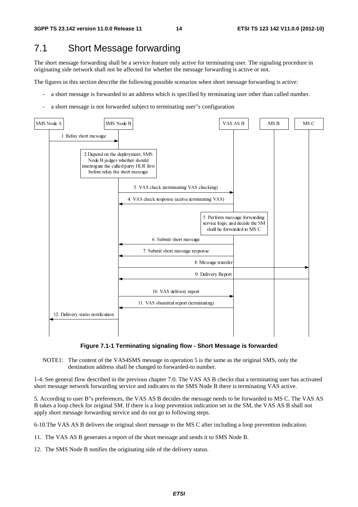# 7.1 Short Message forwarding

The short message forwarding shall be a service feature only active for terminating user. The signaling procedure in originating side network shall not be affected for whether the message forwarding is active or not.

The figures in this section describe the following possible scenarios when short message forwarding is active:

- a short message is forwarded to an address which is specified by terminating user other than called number.
- a short message is not forwarded subject to terminating user"s configuration



#### **Figure 7.1-1 Terminating signaling flow - Short Message is forwarded**

NOTE1: The content of the VAS4SMS message in operation 5 is the same as the original SMS, only the destination address shall be changed to forwarded-to number.

1-4. See general flow described in the previous chapter 7.0. The VAS AS B checks that a terminating user has activated short message network forwarding service and indicates to the SMS Node B there is terminating VAS active.

5. According to user B"s preferences, the VAS AS B decides the message needs to be forwarded to MS C. The VAS AS B takes a loop check for original SM. If there is a loop prevention indication set in the SM, the VAS AS B shall not apply short message forwarding service and do not go to following steps.

6-10.The VAS AS B delivers the original short message to the MS C after including a loop prevention indication.

11. The VAS AS B generates a report of the short message and sends it to SMS Node B.

12. The SMS Node B notifies the originating side of the delivery status.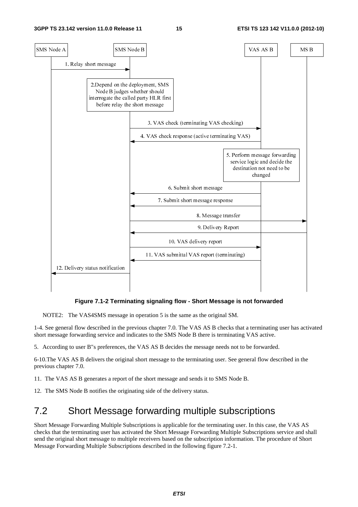

**Figure 7.1-2 Terminating signaling flow - Short Message is not forwarded** 

NOTE2: The VAS4SMS message in operation 5 is the same as the original SM.

1-4. See general flow described in the previous chapter 7.0. The VAS AS B checks that a terminating user has activated short message forwarding service and indicates to the SMS Node B there is terminating VAS active.

5. According to user B"s preferences, the VAS AS B decides the message needs not to be forwarded.

6-10.The VAS AS B delivers the original short message to the terminating user. See general flow described in the previous chapter 7.0.

11. The VAS AS B generates a report of the short message and sends it to SMS Node B.

12. The SMS Node B notifies the originating side of the delivery status.

# 7.2 Short Message forwarding multiple subscriptions

Short Message Forwarding Multiple Subscriptions is applicable for the terminating user. In this case, the VAS AS checks that the terminating user has activated the Short Message Forwarding Multiple Subscriptions service and shall send the original short message to multiple receivers based on the subscription information. The procedure of Short Message Forwarding Multiple Subscriptions described in the following figure 7.2-1.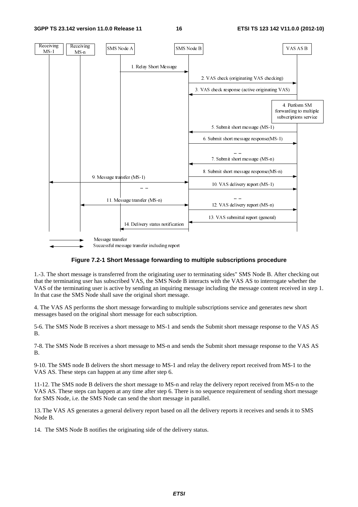

#### **Figure 7.2-1 Short Message forwarding to multiple subscriptions procedure**

1.-3. The short message is transferred from the originating user to terminating sides" SMS Node B. After checking out that the terminating user has subscribed VAS, the SMS Node B interacts with the VAS AS to interrogate whether the VAS of the terminating user is active by sending an inquiring message including the message content received in step 1. In that case the SMS Node shall save the original short message.

4. The VAS AS performs the short message forwarding to multiple subscriptions service and generates new short messages based on the original short message for each subscription.

5-6. The SMS Node B receives a short message to MS-1 and sends the Submit short message response to the VAS AS B.

7-8. The SMS Node B receives a short message to MS-n and sends the Submit short message response to the VAS AS B.

9-10. The SMS node B delivers the short message to MS-1 and relay the delivery report received from MS-1 to the VAS AS. These steps can happen at any time after step 6.

11-12. The SMS node B delivers the short message to MS-n and relay the delivery report received from MS-n to the VAS AS. These steps can happen at any time after step 6. There is no sequence requirement of sending short message for SMS Node, i.e. the SMS Node can send the short message in parallel.

13. The VAS AS generates a general delivery report based on all the delivery reports it receives and sends it to SMS Node B.

14. The SMS Node B notifies the originating side of the delivery status.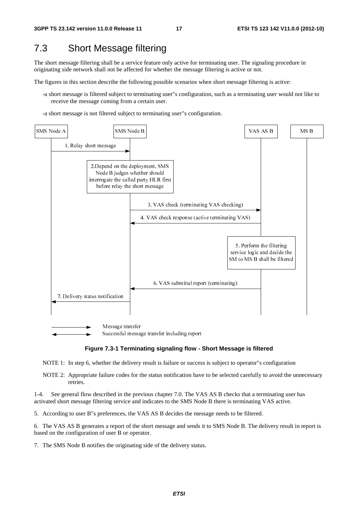# 7.3 Short Message filtering

The short message filtering shall be a service feature only active for terminating user. The signaling procedure in originating side network shall not be affected for whether the message filtering is active or not.

The figures in this section describe the following possible scenarios when short message filtering is active:

- -a short message is filtered subject to terminating user"s configuration, such as a terminating user would not like to receive the message coming from a certain user.
- -a short message is not filtered subject to terminating user"s configuration.



#### **Figure 7.3-1 Terminating signaling flow - Short Message is filtered**

NOTE 1: In step 6, whether the delivery result is failure or success is subject to operator"s configuration

NOTE 2: Appropriate failure codes for the status notification have to be selected carefully to avoid the unnecessary retries.

1-4. See general flow described in the previous chapter 7.0. The VAS AS B checks that a terminating user has activated short message filtering service and indicates to the SMS Node B there is terminating VAS active.

5. According to user B"s preferences, the VAS AS B decides the message needs to be filtered.

6. The VAS AS B generates a report of the short message and sends it to SMS Node B. The delivery result in report is based on the configuration of user B or operator.

7. The SMS Node B notifies the originating side of the delivery status.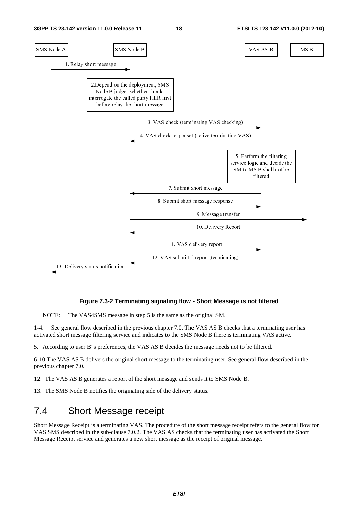

#### **Figure 7.3-2 Terminating signaling flow - Short Message is not filtered**

NOTE: The VAS4SMS message in step 5 is the same as the original SM.

1-4. See general flow described in the previous chapter 7.0. The VAS AS B checks that a terminating user has activated short message filtering service and indicates to the SMS Node B there is terminating VAS active.

5. According to user B"s preferences, the VAS AS B decides the message needs not to be filtered.

6-10.The VAS AS B delivers the original short message to the terminating user. See general flow described in the previous chapter 7.0.

12. The VAS AS B generates a report of the short message and sends it to SMS Node B.

13. The SMS Node B notifies the originating side of the delivery status.

### 7.4 Short Message receipt

Short Message Receipt is a terminating VAS. The procedure of the short message receipt refers to the general flow for VAS SMS described in the sub-clause 7.0.2. The VAS AS checks that the terminating user has activated the Short Message Receipt service and generates a new short message as the receipt of original message.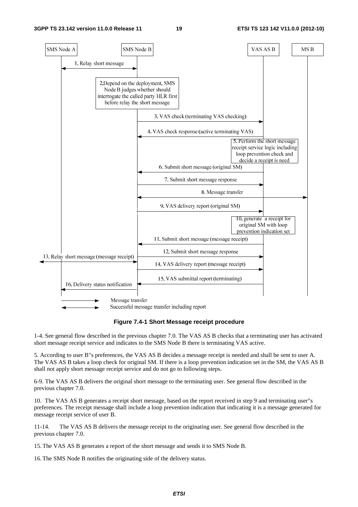

**Figure 7.4-1 Short Message receipt procedure** 

1-4. See general flow described in the previous chapter 7.0. The VAS AS B checks that a terminating user has activated short message receipt service and indicates to the SMS Node B there is terminating VAS active.

5. According to user B"s preferences, the VAS AS B decides a message receipt is needed and shall be sent to user A. The VAS AS B takes a loop check for original SM. If there is a loop prevention indication set in the SM, the VAS AS B shall not apply short message receipt service and do not go to following steps.

6-9. The VAS AS B delivers the original short message to the terminating user. See general flow described in the previous chapter 7.0.

10. The VAS AS B generates a receipt short message, based on the report received in step 9 and terminating user"s preferences. The receipt message shall include a loop prevention indication that indicating it is a message generated for message receipt service of user B.

11-14. The VAS AS B delivers the message receipt to the originating user. See general flow described in the previous chapter 7.0.

15. The VAS AS B generates a report of the short message and sends it to SMS Node B.

16. The SMS Node B notifies the originating side of the delivery status.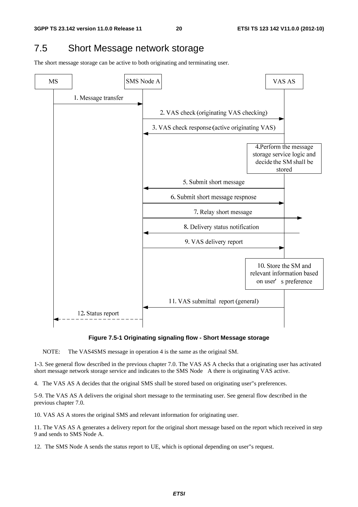# 7.5 Short Message network storage

The short message storage can be active to both originating and terminating user.



#### **Figure 7.5-1 Originating signaling flow - Short Message storage**

NOTE: The VAS4SMS message in operation 4 is the same as the original SM.

1-3. See general flow described in the previous chapter 7.0. The VAS AS A checks that a originating user has activated short message network storage service and indicates to the SMS Node A there is originating VAS active.

4. The VAS AS A decides that the original SMS shall be stored based on originating user"s preferences.

5-9. The VAS AS A delivers the original short message to the terminating user. See general flow described in the previous chapter 7.0.

10. VAS AS A stores the original SMS and relevant information for originating user.

11. The VAS AS A generates a delivery report for the original short message based on the report which received in step 9 and sends to SMS Node A.

12. The SMS Node A sends the status report to UE, which is optional depending on user"s request.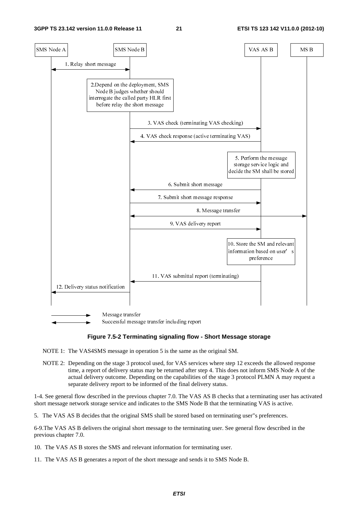

#### **Figure 7.5-2 Terminating signaling flow - Short Message storage**

NOTE 1: The VAS4SMS message in operation 5 is the same as the original SM.

NOTE 2: Depending on the stage 3 protocol used, for VAS services where step 12 exceeds the allowed response time, a report of delivery status may be returned after step 4. This does not inform SMS Node A of the actual delivery outcome. Depending on the capabilities of the stage 3 protocol PLMN A may request a separate delivery report to be informed of the final delivery status.

1-4. See general flow described in the previous chapter 7.0. The VAS AS B checks that a terminating user has activated short message network storage service and indicates to the SMS Node B that the terminating VAS is active.

5. The VAS AS B decides that the original SMS shall be stored based on terminating user"s preferences.

6-9.The VAS AS B delivers the original short message to the terminating user. See general flow described in the previous chapter 7.0.

10. The VAS AS B stores the SMS and relevant information for terminating user.

11. The VAS AS B generates a report of the short message and sends it to SMS Node B.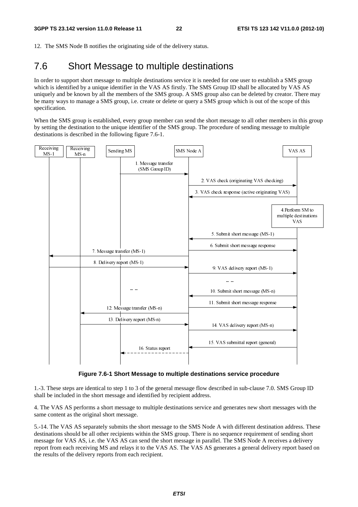12. The SMS Node B notifies the originating side of the delivery status.

# 7.6 Short Message to multiple destinations

In order to support short message to multiple destinations service it is needed for one user to establish a SMS group which is identified by a unique identifier in the VAS AS firstly. The SMS Group ID shall be allocated by VAS AS uniquely and be known by all the members of the SMS group. A SMS group also can be deleted by creator. There may be many ways to manage a SMS group, i.e. create or delete or query a SMS group which is out of the scope of this specification.

When the SMS group is established, every group member can send the short message to all other members in this group by setting the destination to the unique identifier of the SMS group. The procedure of sending message to multiple destinations is described in the following figure 7.6-1.



**Figure 7.6-1 Short Message to multiple destinations service procedure** 

1.-3. These steps are identical to step 1 to 3 of the general message flow described in sub-clause 7.0. SMS Group ID shall be included in the short message and identified by recipient address.

4. The VAS AS performs a short message to multiple destinations service and generates new short messages with the same content as the original short message.

5.-14. The VAS AS separately submits the short message to the SMS Node A with different destination address. These destinations should be all other recipients within the SMS group. There is no sequence requirement of sending short message for VAS AS, i.e. the VAS AS can send the short message in parallel. The SMS Node A receives a delivery report from each receiving MS and relays it to the VAS AS. The VAS AS generates a general delivery report based on the results of the delivery reports from each recipient.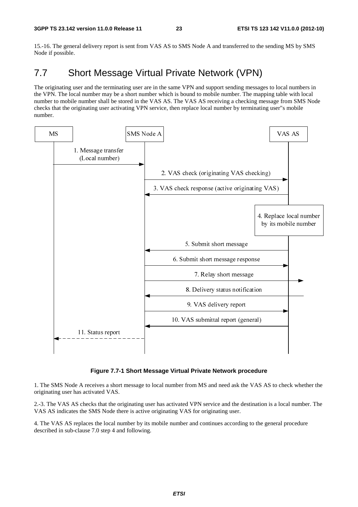15.-16. The general delivery report is sent from VAS AS to SMS Node A and transferred to the sending MS by SMS Node if possible.

# 7.7 Short Message Virtual Private Network (VPN)

The originating user and the terminating user are in the same VPN and support sending messages to local numbers in the VPN. The local number may be a short number which is bound to mobile number. The mapping table with local number to mobile number shall be stored in the VAS AS. The VAS AS receiving a checking message from SMS Node checks that the originating user activating VPN service, then replace local number by terminating user"s mobile number.



#### **Figure 7.7-1 Short Message Virtual Private Network procedure**

1. The SMS Node A receives a short message to local number from MS and need ask the VAS AS to check whether the originating user has activated VAS.

2.-3. The VAS AS checks that the originating user has activated VPN service and the destination is a local number. The VAS AS indicates the SMS Node there is active originating VAS for originating user.

4. The VAS AS replaces the local number by its mobile number and continues according to the general procedure described in sub-clause 7.0 step 4 and following.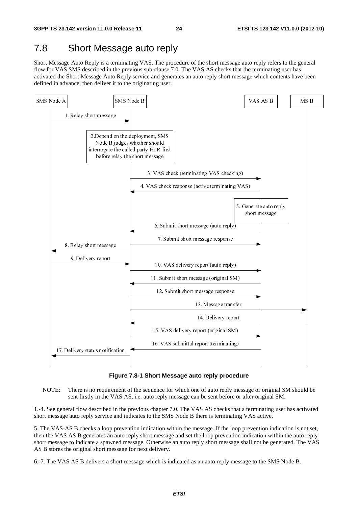# 7.8 Short Message auto reply

Short Message Auto Reply is a terminating VAS. The procedure of the short message auto reply refers to the general flow for VAS SMS described in the previous sub-clause 7.0. The VAS AS checks that the terminating user has activated the Short Message Auto Reply service and generates an auto reply short message which contents have been defined in advance, then deliver it to the originating user.



**Figure 7.8-1 Short Message auto reply procedure** 

NOTE: There is no requirement of the sequence for which one of auto reply message or original SM should be sent firstly in the VAS AS, i.e. auto reply message can be sent before or after original SM.

1.-4. See general flow described in the previous chapter 7.0. The VAS AS checks that a terminating user has activated short message auto reply service and indicates to the SMS Node B there is terminating VAS active.

5. The VAS-AS B checks a loop prevention indication within the message. If the loop prevention indication is not set, then the VAS AS B generates an auto reply short message and set the loop prevention indication within the auto reply short message to indicate a spawned message. Otherwise an auto reply short message shall not be generated. The VAS AS B stores the original short message for next delivery.

6.-7. The VAS AS B delivers a short message which is indicated as an auto reply message to the SMS Node B.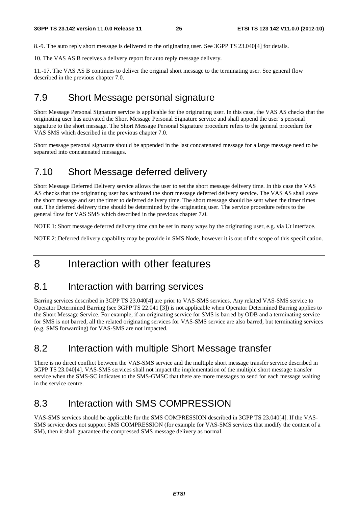8.-9. The auto reply short message is delivered to the originating user. See 3GPP TS 23.040[4] for details.

10. The VAS AS B receives a delivery report for auto reply message delivery.

11.-17. The VAS AS B continues to deliver the original short message to the terminating user. See general flow described in the previous chapter 7.0.

# 7.9 Short Message personal signature

Short Message Personal Signature service is applicable for the originating user. In this case, the VAS AS checks that the originating user has activated the Short Message Personal Signature service and shall append the user"s personal signature to the short message. The Short Message Personal Signature procedure refers to the general procedure for VAS SMS which described in the previous chapter 7.0.

Short message personal signature should be appended in the last concatenated message for a large message need to be separated into concatenated messages.

# 7.10 Short Message deferred delivery

Short Message Deferred Delivery service allows the user to set the short message delivery time. In this case the VAS AS checks that the originating user has activated the short message deferred delivery service. The VAS AS shall store the short message and set the timer to deferred delivery time. The short message should be sent when the timer times out. The deferred delivery time should be determined by the originating user. The service procedure refers to the general flow for VAS SMS which described in the previous chapter 7.0.

NOTE 1: Short message deferred delivery time can be set in many ways by the originating user, e.g. via Ut interface.

NOTE 2:.Deferred delivery capability may be provide in SMS Node, however it is out of the scope of this specification.

# 8 Interaction with other features

### 8.1 Interaction with barring services

Barring services described in 3GPP TS 23.040[4] are prior to VAS-SMS services. Any related VAS-SMS service to Operator Determined Barring (see 3GPP TS 22.041 [3]) is not applicable when Operator Determined Barring applies to the Short Message Service. For example, if an originating service for SMS is barred by ODB and a terminating service for SMS is not barred, all the related originating services for VAS-SMS service are also barred, but terminating services (e.g. SMS forwarding) for VAS-SMS are not impacted.

# 8.2 Interaction with multiple Short Message transfer

There is no direct conflict between the VAS-SMS service and the multiple short message transfer service described in 3GPP TS 23.040[4]. VAS-SMS services shall not impact the implementation of the multiple short message transfer service when the SMS-SC indicates to the SMS-GMSC that there are more messages to send for each message waiting in the service centre.

### 8.3 Interaction with SMS COMPRESSION

VAS-SMS services should be applicable for the SMS COMPRESSION described in 3GPP TS 23.040[4]. If the VAS-SMS service does not support SMS COMPRESSION (for example for VAS-SMS services that modify the content of a SM), then it shall guarantee the compressed SMS message delivery as normal.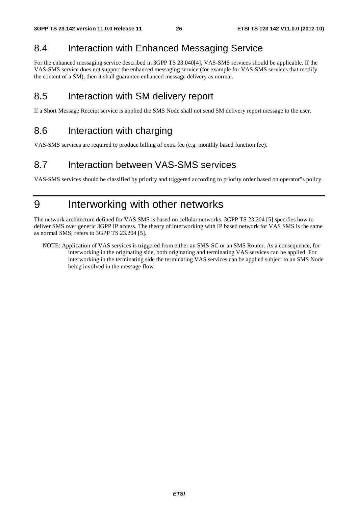# 8.4 Interaction with Enhanced Messaging Service

For the enhanced messaging service described in 3GPP TS 23.040[4], VAS-SMS services should be applicable. If the VAS-SMS service does not support the enhanced messaging service (for example for VAS-SMS services that modify the content of a SM), then it shall guarantee enhanced message delivery as normal.

### 8.5 Interaction with SM delivery report

If a Short Message Receipt service is applied the SMS Node shall not send SM delivery report message to the user.

### 8.6 Interaction with charging

VAS-SMS services are required to produce billing of extra fee (e.g. monthly based function fee).

### 8.7 Interaction between VAS-SMS services

VAS-SMS services should be classified by priority and triggered according to priority order based on operator"s policy.

# 9 Interworking with other networks

The network architecture defined for VAS SMS is based on cellular networks. 3GPP TS 23.204 [5] specifies how to deliver SMS over generic 3GPP IP access. The theory of interworking with IP based network for VAS SMS is the same as normal SMS; refers to 3GPP TS 23.204 [5].

NOTE: Application of VAS services is triggered from either an SMS-SC or an SMS Router. As a consequence, for interworking in the originating side, both originating and terminating VAS services can be applied. For interworking in the terminating side the terminating VAS services can be applied subject to an SMS Node being involved in the message flow.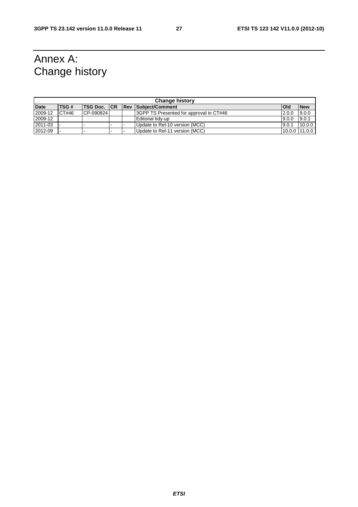# Annex A: Change history

| <b>Change history</b> |       |                      |   |  |                                         |            |            |  |
|-----------------------|-------|----------------------|---|--|-----------------------------------------|------------|------------|--|
| <b>Date</b>           | TSG#  | <b>ITSG Doc. ICR</b> |   |  | <b>Rev Subiect/Comment</b>              | <b>Old</b> | <b>New</b> |  |
| 2009-12               | CT#46 | CP-090824            |   |  | 3GPP TS Presented for approval in CT#46 | 2.0.0      | 9.0.0      |  |
| 2009-12               |       |                      |   |  | <b>Editorial tidy-up</b>                | 9.0.0      | 9.0.1      |  |
| 2011-03               |       |                      | - |  | Update to Rel-10 version (MCC)          | 9.0.1      | 10.0.0     |  |
| 2012-09               |       |                      |   |  | Update to Rel-11 version (MCC)          | 10.0.0     | 11.0.0     |  |